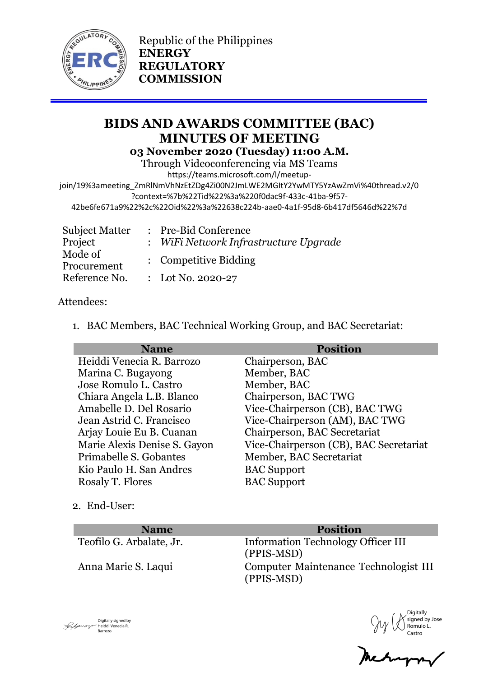

Republic of the Philippines **ENERGY REGULATORY COMMISSION**

# **BIDS AND AWARDS COMMITTEE (BAC) MINUTES OF MEETING 03 November 2020 (Tuesday) 11:00 A.M.**

Through Videoconferencing via MS Teams

https://teams.microsoft.com/l/meetup-

join/19%3ameeting\_ZmRlNmVhNzEtZDg4Zi00N2JmLWE2MGItY2YwMTY5YzAwZmVi%40thread.v2/0 ?context=%7b%22Tid%22%3a%220f0dac9f-433c-41ba-9f57-

42be6fe671a9%22%2c%22Oid%22%3a%22638c224b-aae0-4a1f-95d8-6b417df5646d%22%7d

| <b>Subject Matter</b> | : Pre-Bid Conference                  |  |
|-----------------------|---------------------------------------|--|
| Project               | : WiFi Network Infrastructure Upgrade |  |
| Mode of               | : Competitive Bidding                 |  |
| Procurement           |                                       |  |
| Reference No.         | : Lot No. 2020-27                     |  |

### Attendees:

1. BAC Members, BAC Technical Working Group, and BAC Secretariat:

| <b>Name</b>                  | <b>Position</b>                        |
|------------------------------|----------------------------------------|
| Heiddi Venecia R. Barrozo    | Chairperson, BAC                       |
| Marina C. Bugayong           | Member, BAC                            |
| Jose Romulo L. Castro        | Member, BAC                            |
| Chiara Angela L.B. Blanco    | Chairperson, BAC TWG                   |
| Amabelle D. Del Rosario      | Vice-Chairperson (CB), BAC TWG         |
| Jean Astrid C. Francisco     | Vice-Chairperson (AM), BAC TWG         |
| Arjay Louie Eu B. Cuanan     | Chairperson, BAC Secretariat           |
| Marie Alexis Denise S. Gayon | Vice-Chairperson (CB), BAC Secretariat |
| Primabelle S. Gobantes       | Member, BAC Secretariat                |
| Kio Paulo H. San Andres      | <b>BAC</b> Support                     |
| Rosaly T. Flores             | <b>BAC</b> Support                     |

2. End-User:

**Name Position**<br>Teofilo G. Arbalate, Jr. **Information Technology (** 

Information Technology Officer III (PPIS-MSD) Anna Marie S. Laqui Computer Maintenance Technologist III (PPIS-MSD)

Digitally signed by Jose Romulo L. Castro

Digitally signed by Heiddi Venecia R. Barrozo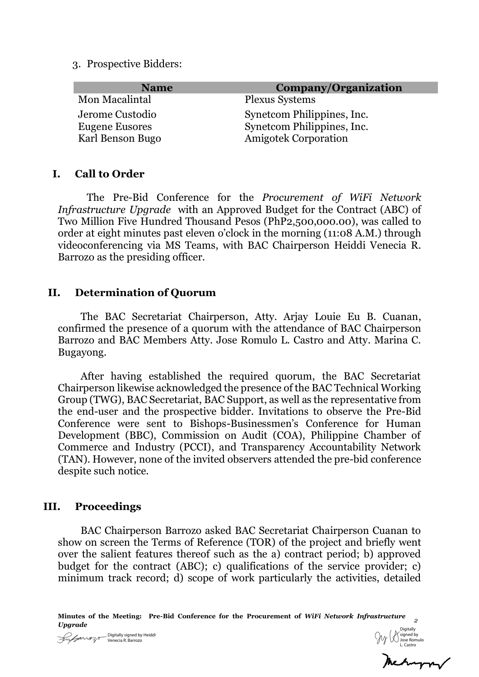3. Prospective Bidders:

| <b>Name</b>      | Company/Organization        |
|------------------|-----------------------------|
| Mon Macalintal   | <b>Plexus Systems</b>       |
| Jerome Custodio  | Synetcom Philippines, Inc.  |
| Eugene Eusores   | Synetcom Philippines, Inc.  |
| Karl Benson Bugo | <b>Amigotek Corporation</b> |

#### **I. Call to Order**

The Pre-Bid Conference for the *Procurement of WiFi Network Infrastructure Upgrade* with an Approved Budget for the Contract (ABC) of Two Million Five Hundred Thousand Pesos (PhP2,500,000.00), was called to order at eight minutes past eleven o'clock in the morning (11:08 A.M.) through videoconferencing via MS Teams, with BAC Chairperson Heiddi Venecia R. Barrozo as the presiding officer.

#### **II. Determination of Quorum**

The BAC Secretariat Chairperson, Atty. Arjay Louie Eu B. Cuanan, confirmed the presence of a quorum with the attendance of BAC Chairperson Barrozo and BAC Members Atty. Jose Romulo L. Castro and Atty. Marina C. Bugayong.

After having established the required quorum, the BAC Secretariat Chairperson likewise acknowledged the presence of the BAC Technical Working Group (TWG), BAC Secretariat, BAC Support, as well as the representative from the end-user and the prospective bidder. Invitations to observe the Pre-Bid Conference were sent to Bishops-Businessmen's Conference for Human Development (BBC), Commission on Audit (COA), Philippine Chamber of Commerce and Industry (PCCI), and Transparency Accountability Network (TAN). However, none of the invited observers attended the pre-bid conference despite such notice.

### **III. Proceedings**

BAC Chairperson Barrozo asked BAC Secretariat Chairperson Cuanan to show on screen the Terms of Reference (TOR) of the project and briefly went over the salient features thereof such as the a) contract period; b) approved budget for the contract (ABC); c) qualifications of the service provider; c) minimum track record; d) scope of work particularly the activities, detailed

**Minutes of the Meeting: Pre-Bid Conference for the Procurement of** *WiFi Network Infrastructure Upgrade <sup>2</sup>*



Digitally signed by Jose Romulo L. Castro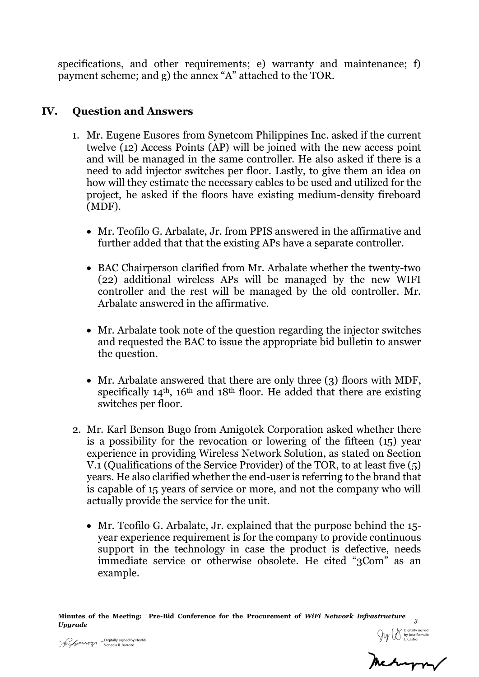specifications, and other requirements; e) warranty and maintenance; f) payment scheme; and g) the annex "A" attached to the TOR.

## **IV. Question and Answers**

- 1. Mr. Eugene Eusores from Synetcom Philippines Inc. asked if the current twelve (12) Access Points (AP) will be joined with the new access point and will be managed in the same controller. He also asked if there is a need to add injector switches per floor. Lastly, to give them an idea on how will they estimate the necessary cables to be used and utilized for the project, he asked if the floors have existing medium-density fireboard (MDF).
	- Mr. Teofilo G. Arbalate, Jr. from PPIS answered in the affirmative and further added that that the existing APs have a separate controller.
	- BAC Chairperson clarified from Mr. Arbalate whether the twenty-two (22) additional wireless APs will be managed by the new WIFI controller and the rest will be managed by the old controller. Mr. Arbalate answered in the affirmative.
	- Mr. Arbalate took note of the question regarding the injector switches and requested the BAC to issue the appropriate bid bulletin to answer the question.
	- Mr. Arbalate answered that there are only three (3) floors with MDF, specifically  $14<sup>th</sup>$ ,  $16<sup>th</sup>$  and  $18<sup>th</sup>$  floor. He added that there are existing switches per floor.
- 2. Mr. Karl Benson Bugo from Amigotek Corporation asked whether there is a possibility for the revocation or lowering of the fifteen (15) year experience in providing Wireless Network Solution, as stated on Section V.1 (Qualifications of the Service Provider) of the TOR, to at least five (5) years. He also clarified whether the end-user is referring to the brand that is capable of 15 years of service or more, and not the company who will actually provide the service for the unit.
	- Mr. Teofilo G. Arbalate, Jr. explained that the purpose behind the 15 year experience requirement is for the company to provide continuous support in the technology in case the product is defective, needs immediate service or otherwise obsolete. He cited "3Com" as an example.

**Minutes of the Meeting: Pre-Bid Conference for the Procurement of** *WiFi Network Infrastructure Upgrade <sup>3</sup>*  $\mathrm{Digitally\, signed\, by\,Heiddi}\ \mathrm{Digitally\, signed\, by\, Heiddi}$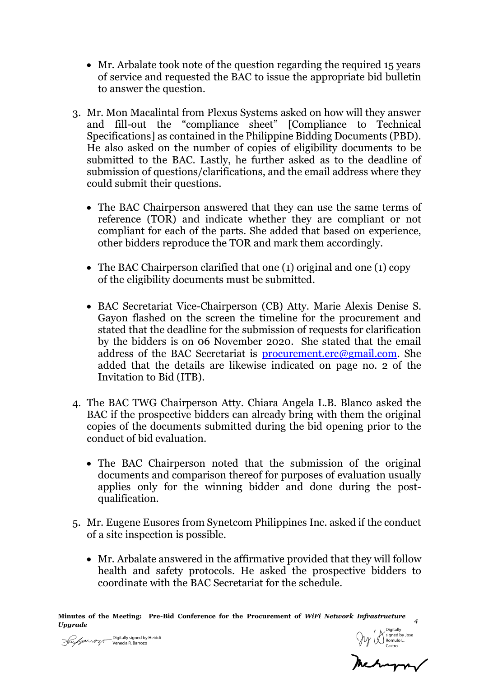- Mr. Arbalate took note of the question regarding the required 15 years of service and requested the BAC to issue the appropriate bid bulletin to answer the question.
- 3. Mr. Mon Macalintal from Plexus Systems asked on how will they answer and fill-out the "compliance sheet" [Compliance to Technical Specifications] as contained in the Philippine Bidding Documents (PBD). He also asked on the number of copies of eligibility documents to be submitted to the BAC. Lastly, he further asked as to the deadline of submission of questions/clarifications, and the email address where they could submit their questions.
	- The BAC Chairperson answered that they can use the same terms of reference (TOR) and indicate whether they are compliant or not compliant for each of the parts. She added that based on experience, other bidders reproduce the TOR and mark them accordingly.
	- The BAC Chairperson clarified that one (1) original and one (1) copy of the eligibility documents must be submitted.
	- BAC Secretariat Vice-Chairperson (CB) Atty. Marie Alexis Denise S. Gayon flashed on the screen the timeline for the procurement and stated that the deadline for the submission of requests for clarification by the bidders is on 06 November 2020. She stated that the email address of the BAC Secretariat is [procurement.erc@gmail.com.](mailto:procurement.erc@gmail.com) She added that the details are likewise indicated on page no. 2 of the Invitation to Bid (ITB).
- 4. The BAC TWG Chairperson Atty. Chiara Angela L.B. Blanco asked the BAC if the prospective bidders can already bring with them the original copies of the documents submitted during the bid opening prior to the conduct of bid evaluation.
	- The BAC Chairperson noted that the submission of the original documents and comparison thereof for purposes of evaluation usually applies only for the winning bidder and done during the postqualification.
- 5. Mr. Eugene Eusores from Synetcom Philippines Inc. asked if the conduct of a site inspection is possible.
	- Mr. Arbalate answered in the affirmative provided that they will follow health and safety protocols. He asked the prospective bidders to coordinate with the BAC Secretariat for the schedule.

**Minutes of the Meeting: Pre-Bid Conference for the Procurement of** *WiFi Network Infrastructure Upgrade <sup>4</sup>*

Digitally signed by Heiddi Venecia R. Barrozo

Digitally signed by Jose Romulo L. Castro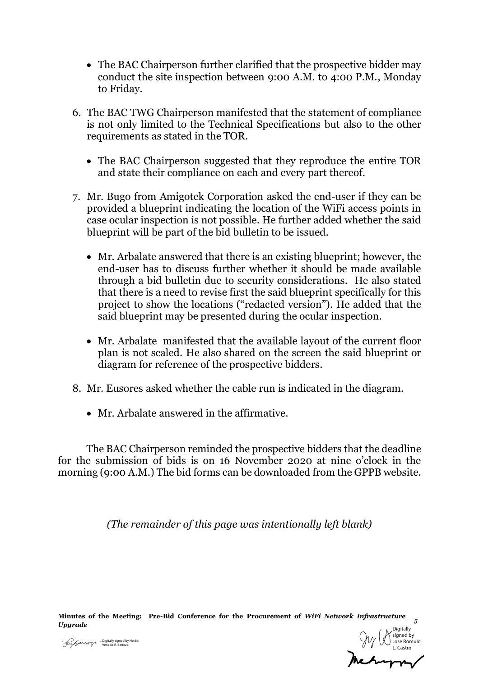- The BAC Chairperson further clarified that the prospective bidder may conduct the site inspection between 9:00 A.M. to 4:00 P.M., Monday to Friday.
- 6. The BAC TWG Chairperson manifested that the statement of compliance is not only limited to the Technical Specifications but also to the other requirements as stated in the TOR.
	- The BAC Chairperson suggested that they reproduce the entire TOR and state their compliance on each and every part thereof.
- 7. Mr. Bugo from Amigotek Corporation asked the end-user if they can be provided a blueprint indicating the location of the WiFi access points in case ocular inspection is not possible. He further added whether the said blueprint will be part of the bid bulletin to be issued.
	- Mr. Arbalate answered that there is an existing blueprint; however, the end-user has to discuss further whether it should be made available through a bid bulletin due to security considerations. He also stated that there is a need to revise first the said blueprint specifically for this project to show the locations ("redacted version"). He added that the said blueprint may be presented during the ocular inspection.
	- Mr. Arbalate manifested that the available layout of the current floor plan is not scaled. He also shared on the screen the said blueprint or diagram for reference of the prospective bidders.
- 8. Mr. Eusores asked whether the cable run is indicated in the diagram.
	- Mr. Arbalate answered in the affirmative.

The BAC Chairperson reminded the prospective bidders that the deadline for the submission of bids is on 16 November 2020 at nine o'clock in the morning (9:00 A.M.) The bid forms can be downloaded from the GPPB website.

*(The remainder of this page was intentionally left blank)*

**Minutes of the Meeting: Pre-Bid Conference for the Procurement of** *WiFi Network Infrastructure Upgrade <sup>5</sup>*



Digitally signed by Heiddi Venecia R. Barrozo